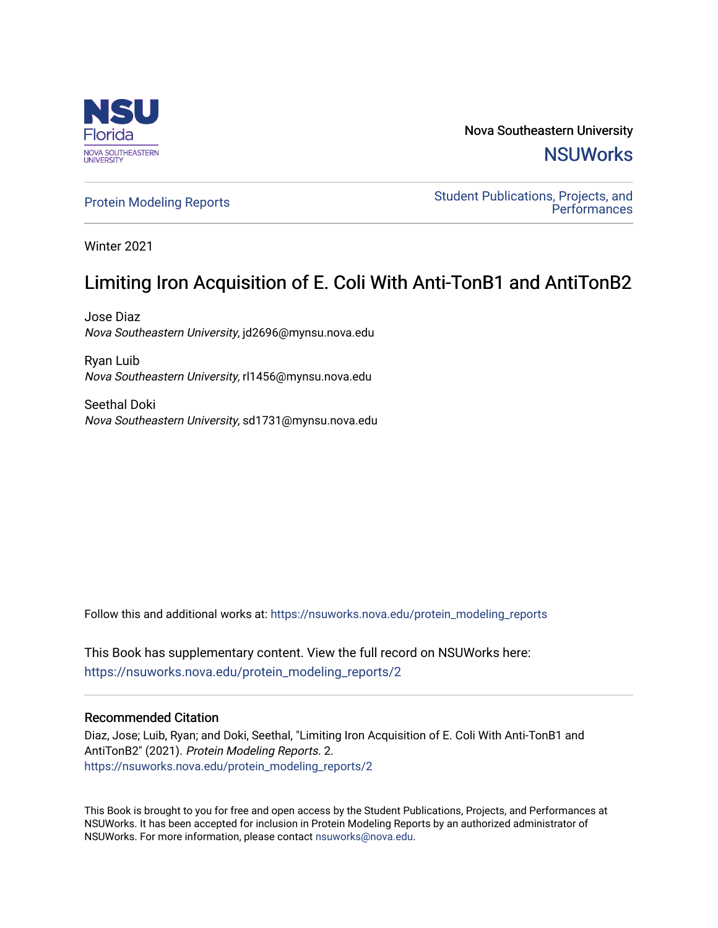

Nova Southeastern University **NSUWorks** 

[Protein Modeling Reports](https://nsuworks.nova.edu/protein_modeling_reports) **Student Publications, Projects, and Performances** 

Winter 2021

# Limiting Iron Acquisition of E. Coli With Anti-TonB1 and AntiTonB2

Jose Diaz Nova Southeastern University, jd2696@mynsu.nova.edu

Ryan Luib Nova Southeastern University, rl1456@mynsu.nova.edu

Seethal Doki Nova Southeastern University, sd1731@mynsu.nova.edu

Follow this and additional works at: [https://nsuworks.nova.edu/protein\\_modeling\\_reports](https://nsuworks.nova.edu/protein_modeling_reports?utm_source=nsuworks.nova.edu%2Fprotein_modeling_reports%2F2&utm_medium=PDF&utm_campaign=PDFCoverPages) 

This Book has supplementary content. View the full record on NSUWorks here: [https://nsuworks.nova.edu/protein\\_modeling\\_reports/2](https://nsuworks.nova.edu/protein_modeling_reports/2)

# Recommended Citation

Diaz, Jose; Luib, Ryan; and Doki, Seethal, "Limiting Iron Acquisition of E. Coli With Anti-TonB1 and AntiTonB2" (2021). Protein Modeling Reports. 2. [https://nsuworks.nova.edu/protein\\_modeling\\_reports/2](https://nsuworks.nova.edu/protein_modeling_reports/2?utm_source=nsuworks.nova.edu%2Fprotein_modeling_reports%2F2&utm_medium=PDF&utm_campaign=PDFCoverPages) 

This Book is brought to you for free and open access by the Student Publications, Projects, and Performances at NSUWorks. It has been accepted for inclusion in Protein Modeling Reports by an authorized administrator of NSUWorks. For more information, please contact [nsuworks@nova.edu](mailto:nsuworks@nova.edu).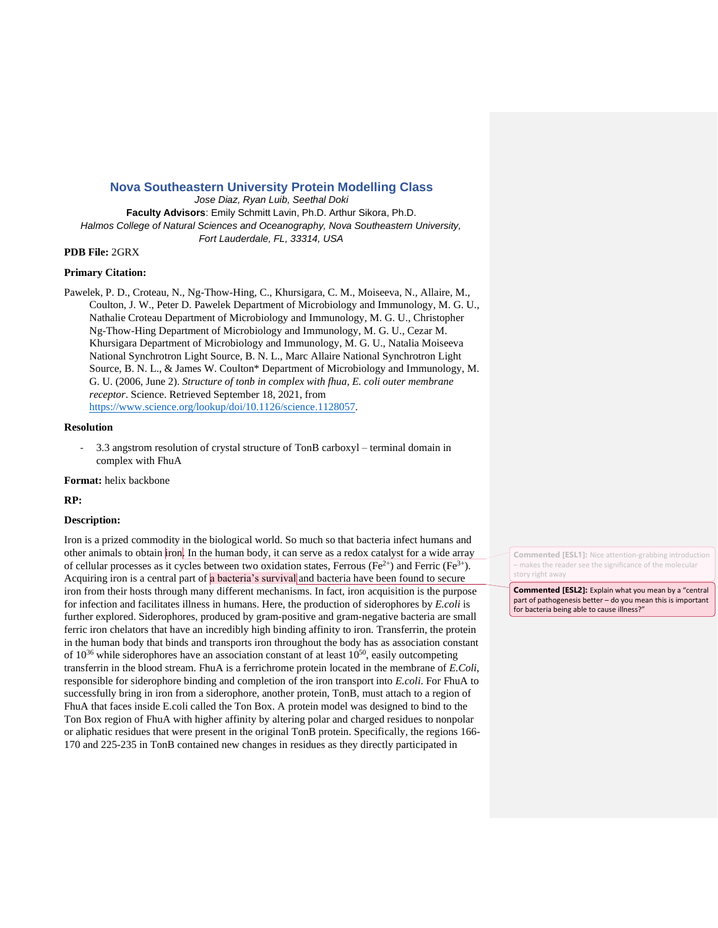## **Nova Southeastern University Protein Modelling Class**

*Jose Diaz, Ryan Luib, Seethal Doki* **Faculty Advisors**: Emily Schmitt Lavin, Ph.D. Arthur Sikora, Ph.D. *Halmos College of Natural Sciences and Oceanography, Nova Southeastern University, Fort Lauderdale, FL, 33314, USA*

#### **PDB File:** 2GRX

#### **Primary Citation:**

Pawelek, P. D., Croteau, N., Ng-Thow-Hing, C., Khursigara, C. M., Moiseeva, N., Allaire, M., Coulton, J. W., Peter D. Pawelek Department of Microbiology and Immunology, M. G. U., Nathalie Croteau Department of Microbiology and Immunology, M. G. U., Christopher Ng-Thow-Hing Department of Microbiology and Immunology, M. G. U., Cezar M. Khursigara Department of Microbiology and Immunology, M. G. U., Natalia Moiseeva National Synchrotron Light Source, B. N. L., Marc Allaire National Synchrotron Light Source, B. N. L., & James W. Coulton\* Department of Microbiology and Immunology, M. G. U. (2006, June 2). *Structure of tonb in complex with fhua, E. coli outer membrane receptor*. Science. Retrieved September 18, 2021, from [https://www.science.org/lookup/doi/10.1126/science.1128057.](https://www.science.org/lookup/doi/10.1126/science.1128057)

#### **Resolution**

- 3.3 angstrom resolution of crystal structure of TonB carboxyl – terminal domain in complex with FhuA

**Format:** helix backbone

#### **RP:**

### **Description:**

Iron is a prized commodity in the biological world. So much so that bacteria infect humans and other animals to obtain iron. In the human body, it can serve as a redox catalyst for a wide array of cellular processes as it cycles between two oxidation states, Ferrous (Fe<sup>2+)</sup> and Ferric (Fe<sup>3+</sup>). Acquiring iron is a central part of a bacteria's survival and bacteria have been found to secure iron from their hosts through many different mechanisms. In fact, iron acquisition is the purpose for infection and facilitates illness in humans. Here, the production of siderophores by *E.coli* is further explored. Siderophores, produced by gram-positive and gram-negative bacteria are small ferric iron chelators that have an incredibly high binding affinity to iron. Transferrin, the protein in the human body that binds and transports iron throughout the body has as association constant of  $10^{36}$  while siderophores have an association constant of at least  $10^{50}$ , easily outcompeting transferrin in the blood stream. FhuA is a ferrichrome protein located in the membrane of *E.Coli*, responsible for siderophore binding and completion of the iron transport into *E.coli*. For FhuA to successfully bring in iron from a siderophore, another protein, TonB, must attach to a region of FhuA that faces inside E.coli called the Ton Box. A protein model was designed to bind to the Ton Box region of FhuA with higher affinity by altering polar and charged residues to nonpolar or aliphatic residues that were present in the original TonB protein. Specifically, the regions 166- 170 and 225-235 in TonB contained new changes in residues as they directly participated in

**Commented [ESL1]:** Nice attention-grabbing introduction – makes the reader see the significance of the molecular story right away

**Commented [ESL2]:** Explain what you mean by a "central part of pathogenesis better – do you mean this is important for bacteria being able to cause illness?"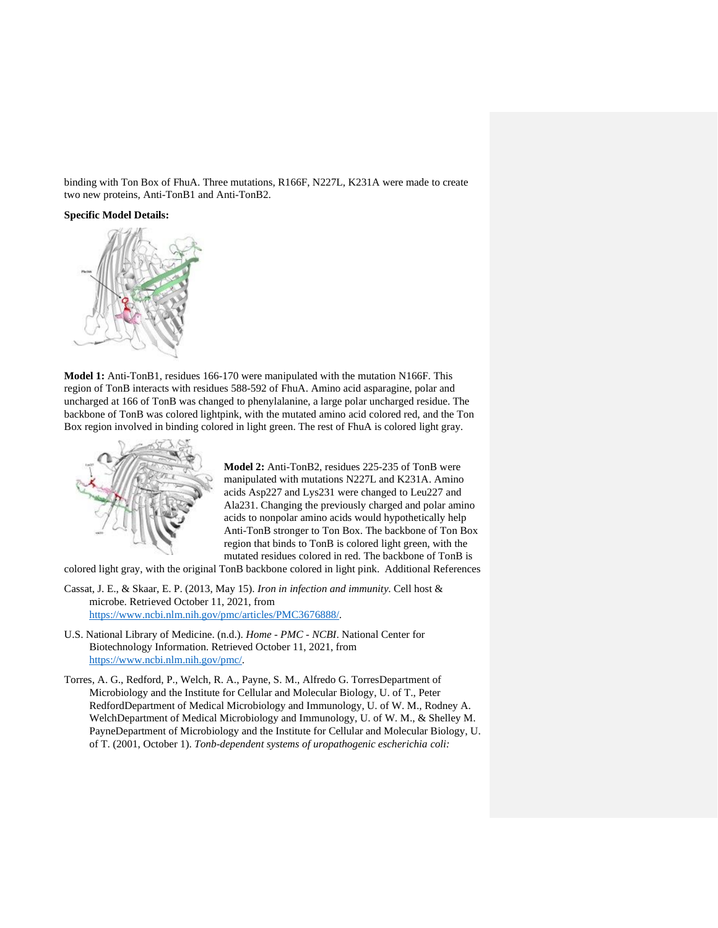binding with Ton Box of FhuA. Three mutations, R166F, N227L, K231A were made to create two new proteins, Anti-TonB1 and Anti-TonB2.

#### **Specific Model Details:**



**Model 1:** Anti-TonB1, residues 166-170 were manipulated with the mutation N166F. This region of TonB interacts with residues 588-592 of FhuA. Amino acid asparagine, polar and uncharged at 166 of TonB was changed to phenylalanine, a large polar uncharged residue. The backbone of TonB was colored lightpink, with the mutated amino acid colored red, and the Ton Box region involved in binding colored in light green. The rest of FhuA is colored light gray.



**Model 2:** Anti-TonB2, residues 225-235 of TonB were manipulated with mutations N227L and K231A. Amino acids Asp227 and Lys231 were changed to Leu227 and Ala231. Changing the previously charged and polar amino acids to nonpolar amino acids would hypothetically help Anti-TonB stronger to Ton Box. The backbone of Ton Box region that binds to TonB is colored light green, with the mutated residues colored in red. The backbone of TonB is

colored light gray, with the original TonB backbone colored in light pink. Additional References

Cassat, J. E., & Skaar, E. P. (2013, May 15). *Iron in infection and immunity*. Cell host & microbe. Retrieved October 11, 2021, from [https://www.ncbi.nlm.nih.gov/pmc/articles/PMC3676888/.](https://www.ncbi.nlm.nih.gov/pmc/articles/PMC3676888/)

- U.S. National Library of Medicine. (n.d.). *Home - PMC - NCBI*. National Center for Biotechnology Information. Retrieved October 11, 2021, from [https://www.ncbi.nlm.nih.gov/pmc/.](https://www.ncbi.nlm.nih.gov/pmc/)
- Torres, A. G., Redford, P., Welch, R. A., Payne, S. M., Alfredo G. TorresDepartment of Microbiology and the Institute for Cellular and Molecular Biology, U. of T., Peter RedfordDepartment of Medical Microbiology and Immunology, U. of W. M., Rodney A. WelchDepartment of Medical Microbiology and Immunology, U. of W. M., & Shelley M. PayneDepartment of Microbiology and the Institute for Cellular and Molecular Biology, U. of T. (2001, October 1). *Tonb-dependent systems of uropathogenic escherichia coli:*